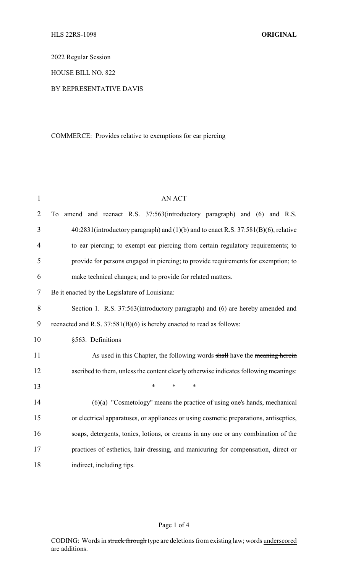2022 Regular Session

HOUSE BILL NO. 822

### BY REPRESENTATIVE DAVIS

# COMMERCE: Provides relative to exemptions for ear piercing

| $\mathbf{1}$   | <b>AN ACT</b>                                                                         |
|----------------|---------------------------------------------------------------------------------------|
| $\overline{2}$ | amend and reenact R.S. 37:563(introductory paragraph) and (6) and R.S.<br>To          |
| 3              | 40:2831(introductory paragraph) and (1)(b) and to enact R.S. 37:581(B)(6), relative   |
| $\overline{4}$ | to ear piercing; to exempt ear piercing from certain regulatory requirements; to      |
| 5              | provide for persons engaged in piercing; to provide requirements for exemption; to    |
| 6              | make technical changes; and to provide for related matters.                           |
| 7              | Be it enacted by the Legislature of Louisiana:                                        |
| 8              | Section 1. R.S. 37:563(introductory paragraph) and (6) are hereby amended and         |
| 9              | reenacted and R.S. 37:581(B)(6) is hereby enacted to read as follows:                 |
| 10             | §563. Definitions                                                                     |
| 11             | As used in this Chapter, the following words shall have the meaning herein            |
| 12             | ascribed to them, unless the content clearly otherwise indicates following meanings:  |
| 13             | $\ast$<br>$\ast$<br>*                                                                 |
| 14             | $(6)(a)$ "Cosmetology" means the practice of using one's hands, mechanical            |
| 15             | or electrical apparatuses, or appliances or using cosmetic preparations, antiseptics, |
| 16             | soaps, detergents, tonics, lotions, or creams in any one or any combination of the    |
| 17             | practices of esthetics, hair dressing, and manicuring for compensation, direct or     |
| 18             | indirect, including tips.                                                             |

# Page 1 of 4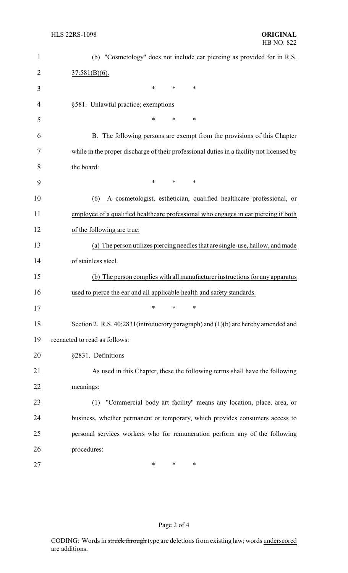| $\mathbf{1}$   | "Cosmetology" does not include ear piercing as provided for in R.S.<br>(b)               |
|----------------|------------------------------------------------------------------------------------------|
| $\overline{2}$ | $37:581(B)(6)$ .                                                                         |
| 3              | $\ast$<br>$\ast$<br>∗                                                                    |
| 4              | §581. Unlawful practice; exemptions                                                      |
| 5              | *<br>∗<br>*                                                                              |
| 6              | B. The following persons are exempt from the provisions of this Chapter                  |
| 7              | while in the proper discharge of their professional duties in a facility not licensed by |
| 8              | the board:                                                                               |
| 9              | $\ast$<br>$\ast$<br>*                                                                    |
| 10             | A cosmetologist, esthetician, qualified healthcare professional, or<br>(6)               |
| 11             | employee of a qualified healthcare professional who engages in ear piercing if both      |
| 12             | of the following are true:                                                               |
| 13             | (a) The person utilizes piercing needles that are single-use, hallow, and made           |
| 14             | of stainless steel.                                                                      |
| 15             | (b) The person complies with all manufacturer instructions for any apparatus             |
| 16             | used to pierce the ear and all applicable health and safety standards.                   |
| 17             | ∗<br>*<br>*                                                                              |
| 18             | Section 2. R.S. 40:2831(introductory paragraph) and (1)(b) are hereby amended and        |
| 19             | reenacted to read as follows:                                                            |
| 20             | §2831. Definitions                                                                       |
| 21             | As used in this Chapter, these the following terms shall have the following              |
| 22             | meanings:                                                                                |
| 23             | "Commercial body art facility" means any location, place, area, or<br>(1)                |
| 24             | business, whether permanent or temporary, which provides consumers access to             |
| 25             | personal services workers who for remuneration perform any of the following              |
| 26             | procedures:                                                                              |
| 27             | ∗<br>∗<br>*                                                                              |

# Page 2 of 4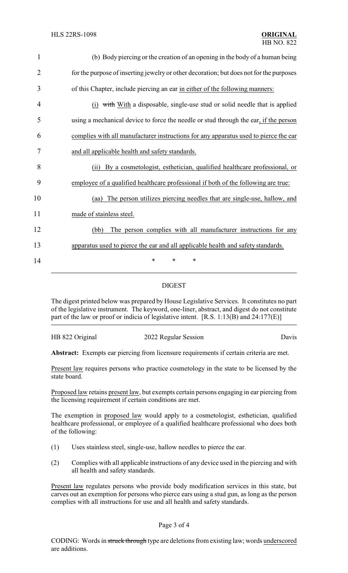| $\mathbf{1}$   | (b) Body piercing or the creation of an opening in the body of a human being            |
|----------------|-----------------------------------------------------------------------------------------|
| $\overline{2}$ | for the purpose of inserting jewelry or other decoration; but does not for the purposes |
| 3              | of this Chapter, include piercing an ear in either of the following manners:            |
| 4              | (i) with With a disposable, single-use stud or solid needle that is applied             |
| 5              | using a mechanical device to force the needle or stud through the ear, if the person    |
| 6              | complies with all manufacturer instructions for any apparatus used to pierce the ear    |
| 7              | and all applicable health and safety standards.                                         |
| 8              | By a cosmetologist, esthetician, qualified healthcare professional, or<br>(i)           |
| 9              | employee of a qualified healthcare professional if both of the following are true:      |
| 10             | The person utilizes piercing needles that are single-use, hallow, and<br>(aa)           |
| 11             | made of stainless steel.                                                                |
| 12             | The person complies with all manufacturer instructions for any<br>(bb)                  |
| 13             | apparatus used to pierce the ear and all applicable health and safety standards.        |
| 14             | $\ast$<br>$\ast$<br>∗                                                                   |

## DIGEST

The digest printed below was prepared by House Legislative Services. It constitutes no part of the legislative instrument. The keyword, one-liner, abstract, and digest do not constitute part of the law or proof or indicia of legislative intent. [R.S. 1:13(B) and 24:177(E)]

HB 822 Original 2022 Regular Session Davis

**Abstract:** Exempts ear piercing from licensure requirements if certain criteria are met.

Present law requires persons who practice cosmetology in the state to be licensed by the state board.

Proposed law retains present law, but exempts certain persons engaging in ear piercing from the licensing requirement if certain conditions are met.

The exemption in proposed law would apply to a cosmetologist, esthetician, qualified healthcare professional, or employee of a qualified healthcare professional who does both of the following:

- (1) Uses stainless steel, single-use, hallow needles to pierce the ear.
- (2) Complies with all applicable instructions of any device used in the piercing and with all health and safety standards.

Present law regulates persons who provide body modification services in this state, but carves out an exemption for persons who pierce ears using a stud gun, as long as the person complies with all instructions for use and all health and safety standards.

#### Page 3 of 4

CODING: Words in struck through type are deletions from existing law; words underscored are additions.